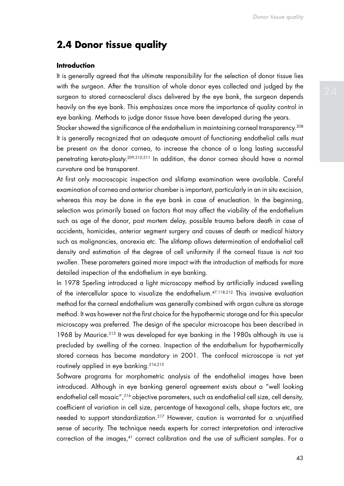# **2.4 Donor tissue quality**

## **Introduction**

It is generally agreed that the ultimate responsibility for the selection of donor tissue lies with the surgeon. After the transition of whole donor eyes collected and judged by the surgeon to stored corneoscleral discs delivered by the eye bank, the surgeon depends heavily on the eye bank. This emphasizes once more the importance of quality control in eye banking. Methods to judge donor tissue have been developed during the years.

Stocker showed the significance of the endothelium in maintaining corneal transparency.<sup>208</sup> It is generally recognized that an adequate amount of functioning endothelial cells must be present on the donor cornea, to increase the chance of a long lasting successful penetrating kerato-plasty.209,210,211 In addition, the donor cornea should have a normal curvature and be transparent.

At first only macroscopic inspection and slitlamp examination were available. Careful examination of cornea and anterior chamber is important, particularly in an in situ excision, whereas this may be done in the eye bank in case of enucleation. In the beginning, selection was primarily based on factors that may affect the viability of the endothelium such as age of the donor, post mortem delay, possible trauma before death in case of accidents, homicides, anterior segment surgery and causes of death or medical history such as malignancies, anorexia etc. The slitlamp allows determination of endothelial cell density and estimation of the degree of cell uniformity if the corneal tissue is not too swollen. These parameters gained more impact with the introduction of methods for more detailed inspection of the endothelium in eye banking.

In 1978 Sperling introduced a light microscopy method by artificially induced swelling of the intercellular space to visualize the endothelium.47,118,212 This invasive evaluation method for the corneal endothelium was generally combined with organ culture as storage method. It was however not the first choice for the hypothermic storage and for this specular microscopy was preferred. The design of the specular microscope has been described in 1968 by Maurice.213 It was developed for eye banking in the 1980s although its use is precluded by swelling of the cornea. Inspection of the endothelium for hypothermically stored corneas has become mandatory in 2001. The confocal microscope is not yet routinely applied in eye banking.214,215

Software programs for morphometric analysis of the endothelial images have been introduced. Although in eye banking general agreement exists about a "well looking endothelial cell mosaic",<sup>216</sup> objective parameters, such as endothelial cell size, cell density, coefficient of variation in cell size, percentage of hexagonal cells, shape factors etc, are needed to support standardization.<sup>217</sup> However, caution is warranted for a unjustified sense of security. The technique needs experts for correct interpretation and interactive correction of the images,<sup>41</sup> correct calibration and the use of sufficient samples. For a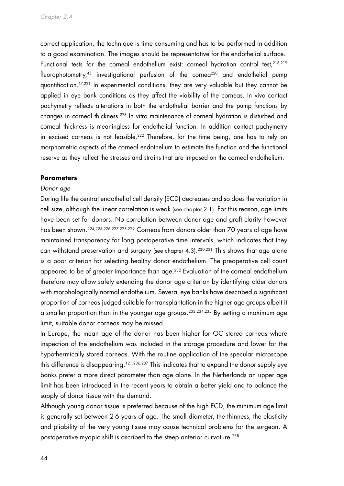correct application, the technique is time consuming and has to be performed in addition to a good examination. The images should be representative for the endothelial surface. Functional tests for the corneal endothelium exist: corneal hydration control test, <sup>218,219</sup> fluorophotometry,<sup>45</sup> investigational perfusion of the cornea<sup>220</sup> and endothelial pump quantification.67,221 In experimental conditions, they are very valuable but they cannot be applied in eye bank conditions as they affect the viability of the corneas. In vivo contact pachymetry reflects alterations in both the endothelial barrier and the pump functions by changes in corneal thickness.223 In vitro maintenance of corneal hydration is disturbed and corneal thickness is meaningless for endothelial function. In addition contact pachymetry in excised corneas is not feasible.<sup>222</sup> Therefore, for the time being, one has to rely on morphometric aspects of the corneal endothelium to estimate the function and the functional reserve as they reflect the stresses and strains that are imposed on the corneal endothelium.

#### **Parameters**

#### *Donor age*

During life the central endothelial cell density (ECD) decreases and so does the variation in cell size, although the linear correlation is weak (see chapter 2.1). For this reason, age limits have been set for donors. No correlation between donor age and graft clarity however has been shown.224,225,226,227,228,229 Corneas from donors older than 70 years of age have maintained transparency for long postoperative time intervals, which indicates that they can withstand preservation and surgery (see chapter 4.3). 230,231 This shows that age alone is a poor criterion for selecting healthy donor endothelium. The preoperative cell count appeared to be of greater importance than age.<sup>232</sup> Evaluation of the corneal endothelium therefore may allow safely extending the donor age criterion by identifying older donors with morphologically normal endothelium. Several eye banks have described a significant proportion of corneas judged suitable for transplantation in the higher age groups albeit it a smaller proportion than in the younger age groups.<sup>233,234,235</sup> By setting a maximum age limit, suitable donor corneas may be missed.

In Europe, the mean age of the donor has been higher for OC stored corneas where inspection of the endothelium was included in the storage procedure and lower for the hypothermically stored corneas. With the routine application of the specular microscope this difference is disappearing.<sup>121,236,237</sup> This indicates that to expand the donor supply eye banks prefer a more direct parameter than age alone. In the Netherlands an upper age limit has been introduced in the recent years to obtain a better yield and to balance the supply of donor tissue with the demand.

Although young donor tissue is preferred because of the high ECD, the minimum age limit is generally set between 2-6 years of age. The small diameter, the thinness, the elasticity and pliability of the very young tissue may cause technical problems for the surgeon. A postoperative myopic shift is ascribed to the steep anterior curvature.<sup>238</sup>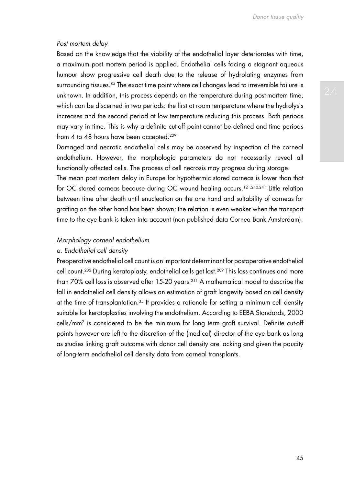#### *Post mortem delay*

Based on the knowledge that the viability of the endothelial layer deteriorates with time, a maximum post mortem period is applied. Endothelial cells facing a stagnant aqueous humour show progressive cell death due to the release of hydrolating enzymes from surrounding tissues.<sup>85</sup> The exact time point where cell changes lead to irreversible failure is unknown. In addition, this process depends on the temperature during post-mortem time, which can be discerned in two periods: the first at room temperature where the hydrolysis increases and the second period at low temperature reducing this process. Both periods may vary in time. This is why a definite cut-off point cannot be defined and time periods from 4 to 48 hours have been accepted.<sup>239</sup>

Damaged and necrotic endothelial cells may be observed by inspection of the corneal endothelium. However, the morphologic parameters do not necessarily reveal all functionally affected cells. The process of cell necrosis may progress during storage.

The mean post mortem delay in Europe for hypothermic stored corneas is lower than that for OC stored corneas because during OC wound healing occurs.<sup>121,240,241</sup> Little relation between time after death until enucleation on the one hand and suitability of corneas for grafting on the other hand has been shown; the relation is even weaker when the transport time to the eye bank is taken into account (non published data Cornea Bank Amsterdam).

#### *Morphology corneal endothelium*

## *a. Endothelial cell density*

Preoperative endothelial cell count is an important determinant for postoperative endothelial cell count.<sup>232</sup> During keratoplasty, endothelial cells get lost.<sup>209</sup> This loss continues and more than 70% cell loss is observed after 15-20 years.211 A mathematical model to describe the fall in endothelial cell density allows an estimation of graft longevity based on cell density at the time of transplantation.<sup>35</sup> It provides a rationale for setting a minimum cell density suitable for keratoplasties involving the endothelium. According to EEBA Standards, 2000 cells/mm2 is considered to be the minimum for long term graft survival. Definite cut-off points however are left to the discretion of the (medical) director of the eye bank as long as studies linking graft outcome with donor cell density are lacking and given the paucity of long-term endothelial cell density data from corneal transplants.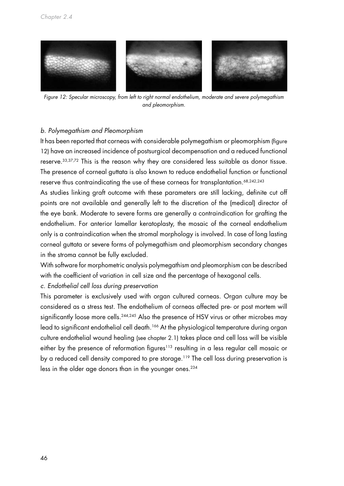

*Figure 12: Specular microscopy, from left to right normal endothelium, moderate and severe polymegathism and pleomorphism.*

## *b. Polymegathism and Pleomorphism*

It has been reported that corneas with considerable polymegathism or pleomorphism (figure 12) have an increased incidence of postsurgical decompensation and a reduced functional reserve.33,37,72 This is the reason why they are considered less suitable as donor tissue. The presence of corneal guttata is also known to reduce endothelial function or functional reserve thus contraindicating the use of these corneas for transplantation.<sup>68,242,243</sup>

As studies linking graft outcome with these parameters are still lacking, definite cut off points are not available and generally left to the discretion of the (medical) director of the eye bank. Moderate to severe forms are generally a contraindication for grafting the endothelium. For anterior lamellar keratoplasty, the mosaic of the corneal endothelium only is a contraindication when the stromal morphology is involved. In case of long lasting corneal guttata or severe forms of polymegathism and pleomorphism secondary changes in the stroma cannot be fully excluded.

With software for morphometric analysis polymegathism and pleomorphism can be described with the coefficient of variation in cell size and the percentage of hexagonal cells.

*c. Endothelial cell loss during preservation*

This parameter is exclusively used with organ cultured corneas. Organ culture may be considered as a stress test. The endothelium of corneas affected pre- or post mortem will significantly loose more cells.<sup>244,245</sup> Also the presence of HSV virus or other microbes may lead to significant endothelial cell death.<sup>166</sup> At the physiological temperature during organ culture endothelial wound healing (see chapter 2.1) takes place and cell loss will be visible either by the presence of reformation figures<sup>113</sup> resulting in a less regular cell mosaic or by a reduced cell density compared to pre storage.<sup>119</sup> The cell loss during preservation is less in the older age donors than in the younger ones.<sup>234</sup>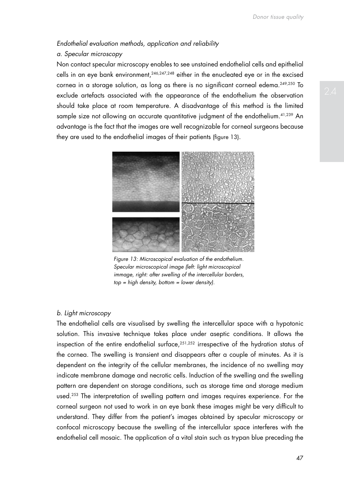# *Endothelial evaluation methods, application and reliability*

# *a. Specular microscopy*

Non contact specular microscopy enables to see unstained endothelial cells and epithelial cells in an eye bank environment,  $246,247,248$  either in the enucleated eye or in the excised cornea in a storage solution, as long as there is no significant corneal edema.249,250 To exclude artefacts associated with the appearance of the endothelium the observation should take place at room temperature. A disadvantage of this method is the limited sample size not allowing an accurate quantitative judgment of the endothelium.<sup>41,239</sup> An advantage is the fact that the images are well recognizable for corneal surgeons because they are used to the endothelial images of their patients (figure 13).



 *Figure 13: Microscopical evaluation of the endothelium. Specular microscopical image (left: light microscopical immage, right: after swelling of the intercellular borders, top = high density, bottom = lower density).*

## *b. Light microscopy*

The endothelial cells are visualised by swelling the intercellular space with a hypotonic solution. This invasive technique takes place under aseptic conditions. It allows the inspection of the entire endothelial surface,<sup>251,252</sup> irrespective of the hydration status of the cornea. The swelling is transient and disappears after a couple of minutes. As it is dependent on the integrity of the cellular membranes, the incidence of no swelling may indicate membrane damage and necrotic cells. Induction of the swelling and the swelling pattern are dependent on storage conditions, such as storage time and storage medium used.<sup>253</sup> The interpretation of swelling pattern and images requires experience. For the corneal surgeon not used to work in an eye bank these images might be very difficult to understand. They differ from the patient's images obtained by specular microscopy or confocal microscopy because the swelling of the intercellular space interferes with the endothelial cell mosaic. The application of a vital stain such as trypan blue preceding the